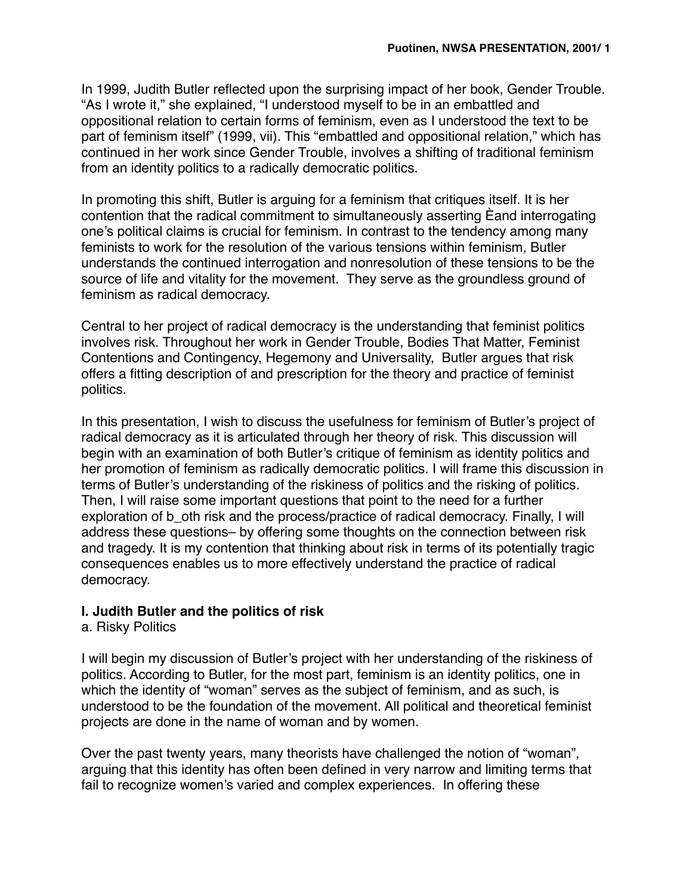In 1999, Judith Butler reflected upon the surprising impact of her book, Gender Trouble. "As I wrote it," she explained, "I understood myself to be in an embattled and oppositional relation to certain forms of feminism, even as I understood the text to be part of feminism itself" (1999, vii). This "embattled and oppositional relation," which has continued in her work since Gender Trouble, involves a shifting of traditional feminism from an identity politics to a radically democratic politics.

In promoting this shift, Butler is arguing for a feminism that critiques itself. It is her contention that the radical commitment to simultaneously asserting Èand interrogating one's political claims is crucial for feminism. In contrast to the tendency among many feminists to work for the resolution of the various tensions within feminism, Butler understands the continued interrogation and nonresolution of these tensions to be the source of life and vitality for the movement. They serve as the groundless ground of feminism as radical democracy.

Central to her project of radical democracy is the understanding that feminist politics involves risk. Throughout her work in Gender Trouble, Bodies That Matter, Feminist Contentions and Contingency, Hegemony and Universality, Butler argues that risk offers a fitting description of and prescription for the theory and practice of feminist politics.

In this presentation, I wish to discuss the usefulness for feminism of Butler's project of radical democracy as it is articulated through her theory of risk. This discussion will begin with an examination of both Butler's critique of feminism as identity politics and her promotion of feminism as radically democratic politics. I will frame this discussion in terms of Butler's understanding of the riskiness of politics and the risking of politics. Then, I will raise some important questions that point to the need for a further exploration of b\_oth risk and the process/practice of radical democracy. Finally, I will address these questions– by offering some thoughts on the connection between risk and tragedy. It is my contention that thinking about risk in terms of its potentially tragic consequences enables us to more effectively understand the practice of radical democracy.

### **I. Judith Butler and the politics of risk**

### a. Risky Politics

I will begin my discussion of Butler's project with her understanding of the riskiness of politics. According to Butler, for the most part, feminism is an identity politics, one in which the identity of "woman" serves as the subject of feminism, and as such, is understood to be the foundation of the movement. All political and theoretical feminist projects are done in the name of woman and by women.

Over the past twenty years, many theorists have challenged the notion of "woman", arguing that this identity has often been defined in very narrow and limiting terms that fail to recognize women's varied and complex experiences. In offering these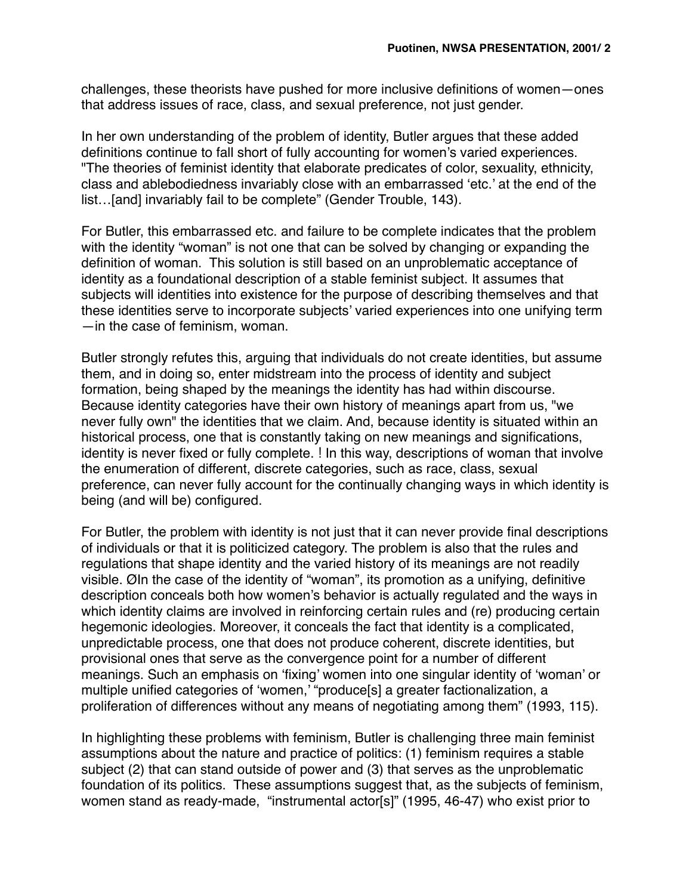challenges, these theorists have pushed for more inclusive definitions of women—ones that address issues of race, class, and sexual preference, not just gender.

In her own understanding of the problem of identity, Butler argues that these added definitions continue to fall short of fully accounting for women's varied experiences. "The theories of feminist identity that elaborate predicates of color, sexuality, ethnicity, class and ablebodiedness invariably close with an embarrassed 'etc.' at the end of the list…[and] invariably fail to be complete" (Gender Trouble, 143).

For Butler, this embarrassed etc. and failure to be complete indicates that the problem with the identity "woman" is not one that can be solved by changing or expanding the definition of woman. This solution is still based on an unproblematic acceptance of identity as a foundational description of a stable feminist subject. It assumes that subjects will identities into existence for the purpose of describing themselves and that these identities serve to incorporate subjects' varied experiences into one unifying term —in the case of feminism, woman.

Butler strongly refutes this, arguing that individuals do not create identities, but assume them, and in doing so, enter midstream into the process of identity and subject formation, being shaped by the meanings the identity has had within discourse. Because identity categories have their own history of meanings apart from us, "we never fully own" the identities that we claim. And, because identity is situated within an historical process, one that is constantly taking on new meanings and significations, identity is never fixed or fully complete. ! In this way, descriptions of woman that involve the enumeration of different, discrete categories, such as race, class, sexual preference, can never fully account for the continually changing ways in which identity is being (and will be) configured.

For Butler, the problem with identity is not just that it can never provide final descriptions of individuals or that it is politicized category. The problem is also that the rules and regulations that shape identity and the varied history of its meanings are not readily visible. ØIn the case of the identity of "woman", its promotion as a unifying, definitive description conceals both how women's behavior is actually regulated and the ways in which identity claims are involved in reinforcing certain rules and (re) producing certain hegemonic ideologies. Moreover, it conceals the fact that identity is a complicated, unpredictable process, one that does not produce coherent, discrete identities, but provisional ones that serve as the convergence point for a number of different meanings. Such an emphasis on 'fixing' women into one singular identity of 'woman' or multiple unified categories of 'women,' "produce[s] a greater factionalization, a proliferation of differences without any means of negotiating among them" (1993, 115).

In highlighting these problems with feminism, Butler is challenging three main feminist assumptions about the nature and practice of politics: (1) feminism requires a stable subject (2) that can stand outside of power and (3) that serves as the unproblematic foundation of its politics. These assumptions suggest that, as the subjects of feminism, women stand as ready-made, "instrumental actor[s]" (1995, 46-47) who exist prior to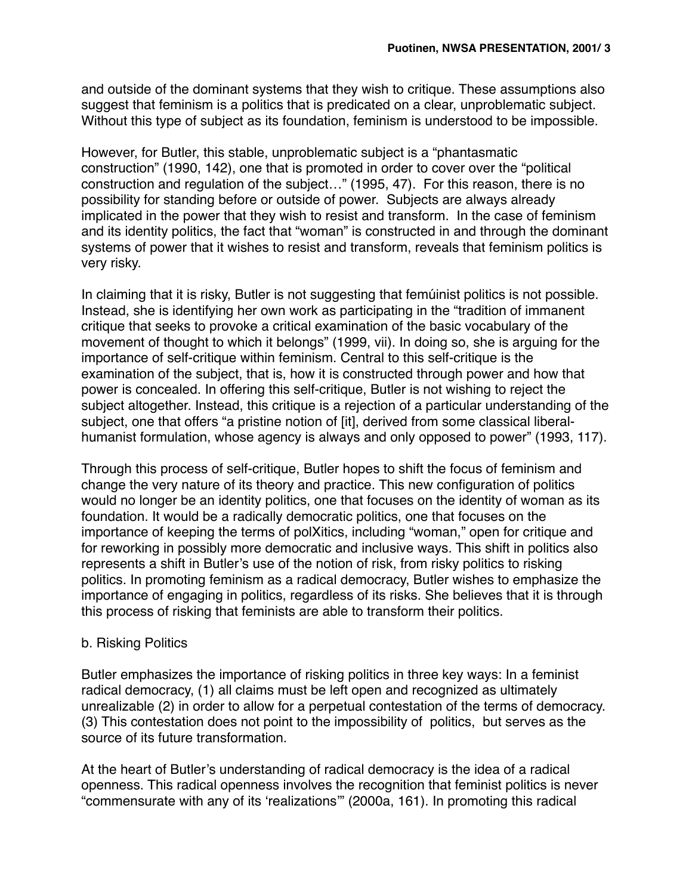and outside of the dominant systems that they wish to critique. These assumptions also suggest that feminism is a politics that is predicated on a clear, unproblematic subject. Without this type of subject as its foundation, feminism is understood to be impossible.

However, for Butler, this stable, unproblematic subject is a "phantasmatic construction" (1990, 142), one that is promoted in order to cover over the "political construction and regulation of the subject…" (1995, 47). For this reason, there is no possibility for standing before or outside of power. Subjects are always already implicated in the power that they wish to resist and transform. In the case of feminism and its identity politics, the fact that "woman" is constructed in and through the dominant systems of power that it wishes to resist and transform, reveals that feminism politics is very risky.

In claiming that it is risky, Butler is not suggesting that femúinist politics is not possible. Instead, she is identifying her own work as participating in the "tradition of immanent critique that seeks to provoke a critical examination of the basic vocabulary of the movement of thought to which it belongs" (1999, vii). In doing so, she is arguing for the importance of self-critique within feminism. Central to this self-critique is the examination of the subject, that is, how it is constructed through power and how that power is concealed. In offering this self-critique, Butler is not wishing to reject the subject altogether. Instead, this critique is a rejection of a particular understanding of the subject, one that offers "a pristine notion of [it], derived from some classical liberalhumanist formulation, whose agency is always and only opposed to power" (1993, 117).

Through this process of self-critique, Butler hopes to shift the focus of feminism and change the very nature of its theory and practice. This new configuration of politics would no longer be an identity politics, one that focuses on the identity of woman as its foundation. It would be a radically democratic politics, one that focuses on the importance of keeping the terms of polXitics, including "woman," open for critique and for reworking in possibly more democratic and inclusive ways. This shift in politics also represents a shift in Butler's use of the notion of risk, from risky politics to risking politics. In promoting feminism as a radical democracy, Butler wishes to emphasize the importance of engaging in politics, regardless of its risks. She believes that it is through this process of risking that feminists are able to transform their politics.

### b. Risking Politics

Butler emphasizes the importance of risking politics in three key ways: In a feminist radical democracy, (1) all claims must be left open and recognized as ultimately unrealizable (2) in order to allow for a perpetual contestation of the terms of democracy. (3) This contestation does not point to the impossibility of politics, but serves as the source of its future transformation.

At the heart of Butler's understanding of radical democracy is the idea of a radical openness. This radical openness involves the recognition that feminist politics is never "commensurate with any of its 'realizations'" (2000a, 161). In promoting this radical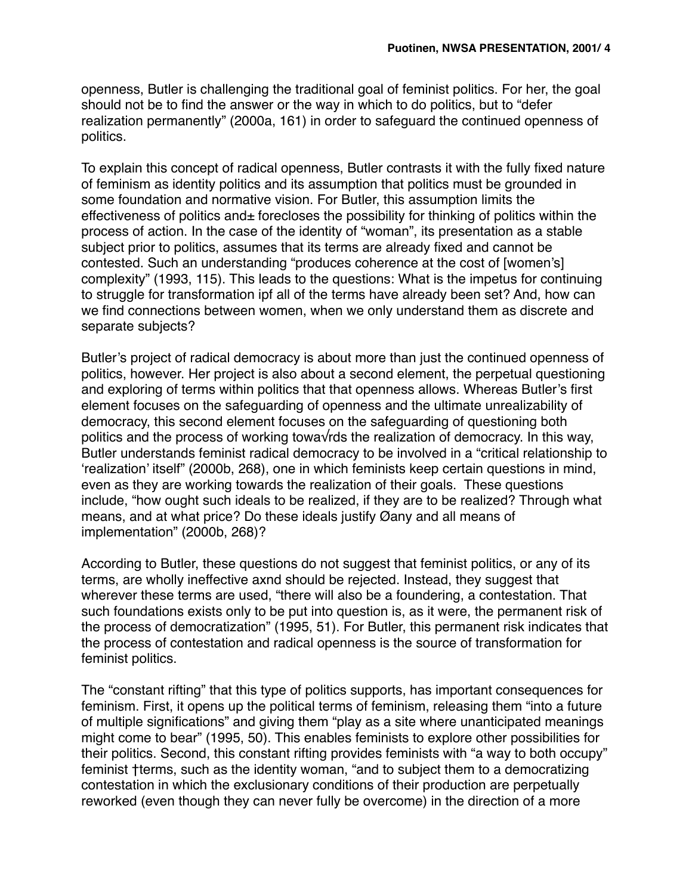openness, Butler is challenging the traditional goal of feminist politics. For her, the goal should not be to find the answer or the way in which to do politics, but to "defer realization permanently" (2000a, 161) in order to safeguard the continued openness of politics.

To explain this concept of radical openness, Butler contrasts it with the fully fixed nature of feminism as identity politics and its assumption that politics must be grounded in some foundation and normative vision. For Butler, this assumption limits the effectiveness of politics and $\pm$  forecloses the possibility for thinking of politics within the process of action. In the case of the identity of "woman", its presentation as a stable subject prior to politics, assumes that its terms are already fixed and cannot be contested. Such an understanding "produces coherence at the cost of [women's] complexity" (1993, 115). This leads to the questions: What is the impetus for continuing to struggle for transformation ipf all of the terms have already been set? And, how can we find connections between women, when we only understand them as discrete and separate subjects?

Butler's project of radical democracy is about more than just the continued openness of politics, however. Her project is also about a second element, the perpetual questioning and exploring of terms within politics that that openness allows. Whereas Butler's first element focuses on the safeguarding of openness and the ultimate unrealizability of democracy, this second element focuses on the safeguarding of questioning both politics and the process of working towa√rds the realization of democracy. In this way, Butler understands feminist radical democracy to be involved in a "critical relationship to 'realization' itself" (2000b, 268), one in which feminists keep certain questions in mind, even as they are working towards the realization of their goals. These questions include, "how ought such ideals to be realized, if they are to be realized? Through what means, and at what price? Do these ideals justify Øany and all means of implementation" (2000b, 268)?

According to Butler, these questions do not suggest that feminist politics, or any of its terms, are wholly ineffective axnd should be rejected. Instead, they suggest that wherever these terms are used, "there will also be a foundering, a contestation. That such foundations exists only to be put into question is, as it were, the permanent risk of the process of democratization" (1995, 51). For Butler, this permanent risk indicates that the process of contestation and radical openness is the source of transformation for feminist politics.

The "constant rifting" that this type of politics supports, has important consequences for feminism. First, it opens up the political terms of feminism, releasing them "into a future of multiple significations" and giving them "play as a site where unanticipated meanings might come to bear" (1995, 50). This enables feminists to explore other possibilities for their politics. Second, this constant rifting provides feminists with "a way to both occupy" feminist †terms, such as the identity woman, "and to subject them to a democratizing contestation in which the exclusionary conditions of their production are perpetually reworked (even though they can never fully be overcome) in the direction of a more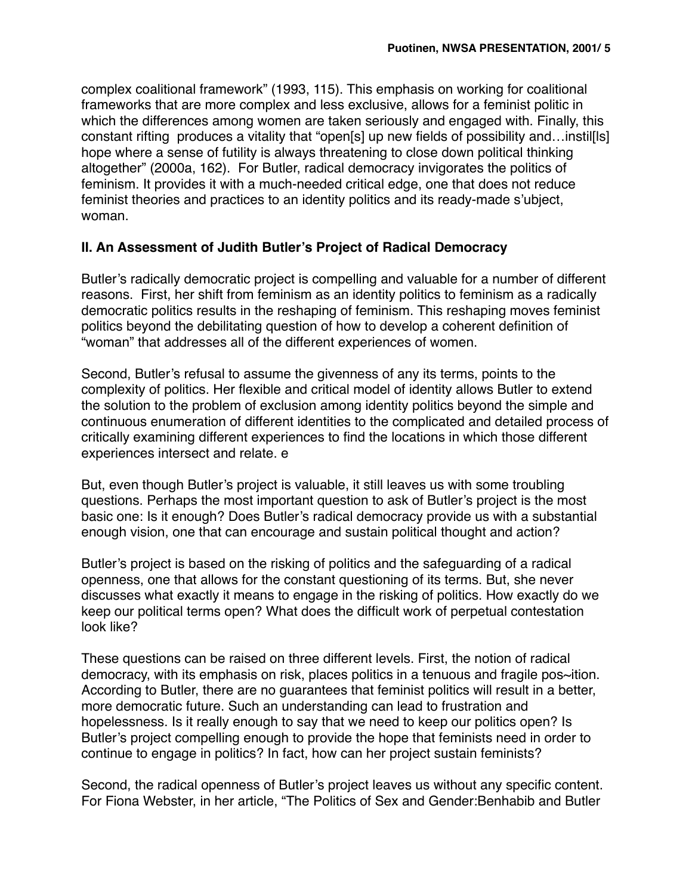complex coalitional framework" (1993, 115). This emphasis on working for coalitional frameworks that are more complex and less exclusive, allows for a feminist politic in which the differences among women are taken seriously and engaged with. Finally, this constant rifting produces a vitality that "open[s] up new fields of possibility and…instil[ls] hope where a sense of futility is always threatening to close down political thinking altogether" (2000a, 162). For Butler, radical democracy invigorates the politics of feminism. It provides it with a much-needed critical edge, one that does not reduce feminist theories and practices to an identity politics and its ready-made s'ubject, woman.

## **II. An Assessment of Judith Butler's Project of Radical Democracy**

Butler's radically democratic project is compelling and valuable for a number of different reasons. First, her shift from feminism as an identity politics to feminism as a radically democratic politics results in the reshaping of feminism. This reshaping moves feminist politics beyond the debilitating question of how to develop a coherent definition of "woman" that addresses all of the different experiences of women.

Second, Butler's refusal to assume the givenness of any its terms, points to the complexity of politics. Her flexible and critical model of identity allows Butler to extend the solution to the problem of exclusion among identity politics beyond the simple and continuous enumeration of different identities to the complicated and detailed process of critically examining different experiences to find the locations in which those different experiences intersect and relate. e

But, even though Butler's project is valuable, it still leaves us with some troubling questions. Perhaps the most important question to ask of Butler's project is the most basic one: Is it enough? Does Butler's radical democracy provide us with a substantial enough vision, one that can encourage and sustain political thought and action?

Butler's project is based on the risking of politics and the safeguarding of a radical openness, one that allows for the constant questioning of its terms. But, she never discusses what exactly it means to engage in the risking of politics. How exactly do we keep our political terms open? What does the difficult work of perpetual contestation look like?

These questions can be raised on three different levels. First, the notion of radical democracy, with its emphasis on risk, places politics in a tenuous and fragile pos~ition. According to Butler, there are no guarantees that feminist politics will result in a better, more democratic future. Such an understanding can lead to frustration and hopelessness. Is it really enough to say that we need to keep our politics open? Is Butler's project compelling enough to provide the hope that feminists need in order to continue to engage in politics? In fact, how can her project sustain feminists?

Second, the radical openness of Butler's project leaves us without any specific content. For Fiona Webster, in her article, "The Politics of Sex and Gender:Benhabib and Butler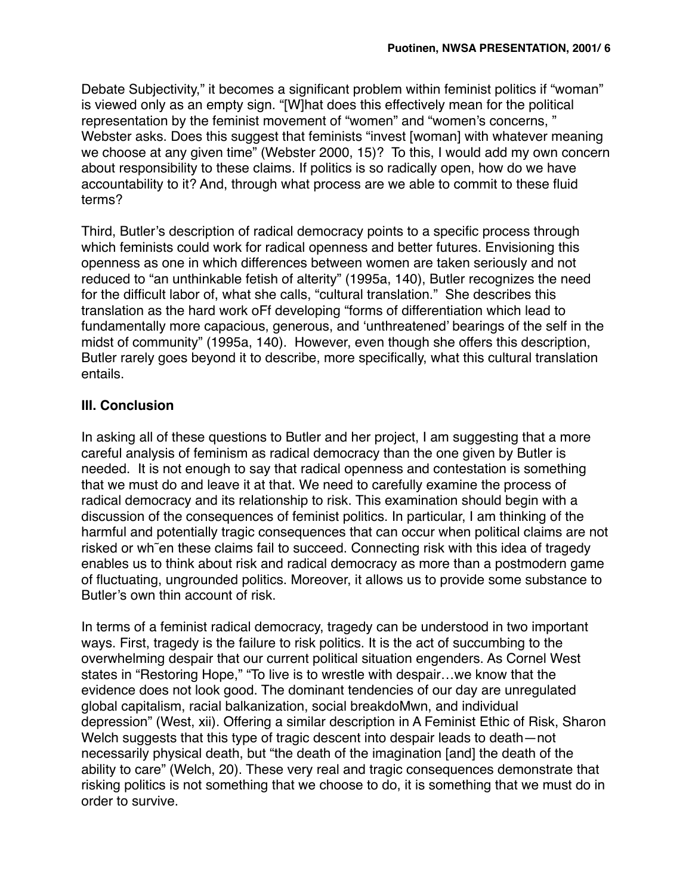Debate Subjectivity," it becomes a significant problem within feminist politics if "woman" is viewed only as an empty sign. "[W]hat does this effectively mean for the political representation by the feminist movement of "women" and "women's concerns, " Webster asks. Does this suggest that feminists "invest [woman] with whatever meaning we choose at any given time" (Webster 2000, 15)? To this, I would add my own concern about responsibility to these claims. If politics is so radically open, how do we have accountability to it? And, through what process are we able to commit to these fluid terms?

Third, Butler's description of radical democracy points to a specific process through which feminists could work for radical openness and better futures. Envisioning this openness as one in which differences between women are taken seriously and not reduced to "an unthinkable fetish of alterity" (1995a, 140), Butler recognizes the need for the difficult labor of, what she calls, "cultural translation." She describes this translation as the hard work oFf developing "forms of differentiation which lead to fundamentally more capacious, generous, and 'unthreatened' bearings of the self in the midst of community" (1995a, 140). However, even though she offers this description, Butler rarely goes beyond it to describe, more specifically, what this cultural translation entails.

# **III. Conclusion**

In asking all of these questions to Butler and her project, I am suggesting that a more careful analysis of feminism as radical democracy than the one given by Butler is needed. It is not enough to say that radical openness and contestation is something that we must do and leave it at that. We need to carefully examine the process of radical democracy and its relationship to risk. This examination should begin with a discussion of the consequences of feminist politics. In particular, I am thinking of the harmful and potentially tragic consequences that can occur when political claims are not risked or wh˜en these claims fail to succeed. Connecting risk with this idea of tragedy enables us to think about risk and radical democracy as more than a postmodern game of fluctuating, ungrounded politics. Moreover, it allows us to provide some substance to Butler's own thin account of risk.

In terms of a feminist radical democracy, tragedy can be understood in two important ways. First, tragedy is the failure to risk politics. It is the act of succumbing to the overwhelming despair that our current political situation engenders. As Cornel West states in "Restoring Hope," "To live is to wrestle with despair…we know that the evidence does not look good. The dominant tendencies of our day are unregulated global capitalism, racial balkanization, social breakdoMwn, and individual depression" (West, xii). Offering a similar description in A Feminist Ethic of Risk, Sharon Welch suggests that this type of tragic descent into despair leads to death—not necessarily physical death, but "the death of the imagination [and] the death of the ability to care" (Welch, 20). These very real and tragic consequences demonstrate that risking politics is not something that we choose to do, it is something that we must do in order to survive.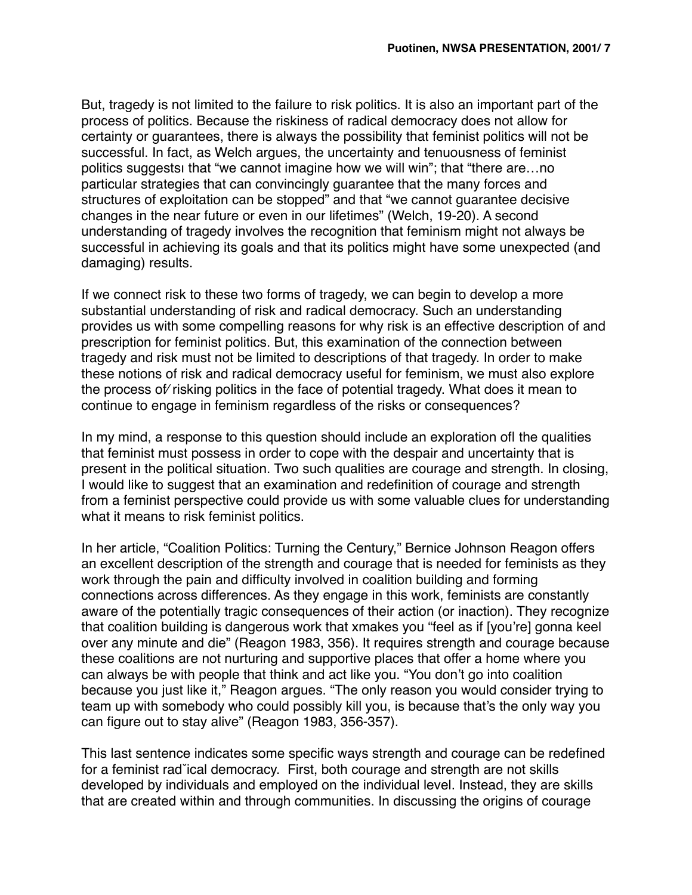But, tragedy is not limited to the failure to risk politics. It is also an important part of the process of politics. Because the riskiness of radical democracy does not allow for certainty or guarantees, there is always the possibility that feminist politics will not be successful. In fact, as Welch argues, the uncertainty and tenuousness of feminist politics suggestsı that "we cannot imagine how we will win"; that "there are…no particular strategies that can convincingly guarantee that the many forces and structures of exploitation can be stopped" and that "we cannot guarantee decisive changes in the near future or even in our lifetimes" (Welch, 19-20). A second understanding of tragedy involves the recognition that feminism might not always be successful in achieving its goals and that its politics might have some unexpected (and damaging) results.

If we connect risk to these two forms of tragedy, we can begin to develop a more substantial understanding of risk and radical democracy. Such an understanding provides us with some compelling reasons for why risk is an effective description of and prescription for feminist politics. But, this examination of the connection between tragedy and risk must not be limited to descriptions of that tragedy. In order to make these notions of risk and radical democracy useful for feminism, we must also explore the process of⁄ risking politics in the face of potential tragedy. What does it mean to continue to engage in feminism regardless of the risks or consequences?

In my mind, a response to this question should include an exploration of the qualities that feminist must possess in order to cope with the despair and uncertainty that is present in the political situation. Two such qualities are courage and strength. In closing, I would like to suggest that an examination and redefinition of courage and strength from a feminist perspective could provide us with some valuable clues for understanding what it means to risk feminist politics.

In her article, "Coalition Politics: Turning the Century," Bernice Johnson Reagon offers an excellent description of the strength and courage that is needed for feminists as they work through the pain and difficulty involved in coalition building and forming connections across differences. As they engage in this work, feminists are constantly aware of the potentially tragic consequences of their action (or inaction). They recognize that coalition building is dangerous work that xmakes you "feel as if [you're] gonna keel over any minute and die" (Reagon 1983, 356). It requires strength and courage because these coalitions are not nurturing and supportive places that offer a home where you can always be with people that think and act like you. "You don't go into coalition because you just like it," Reagon argues. "The only reason you would consider trying to team up with somebody who could possibly kill you, is because that's the only way you can figure out to stay alive" (Reagon 1983, 356-357).

This last sentence indicates some specific ways strength and courage can be redefined for a feminist radˇical democracy. First, both courage and strength are not skills developed by individuals and employed on the individual level. Instead, they are skills that are created within and through communities. In discussing the origins of courage